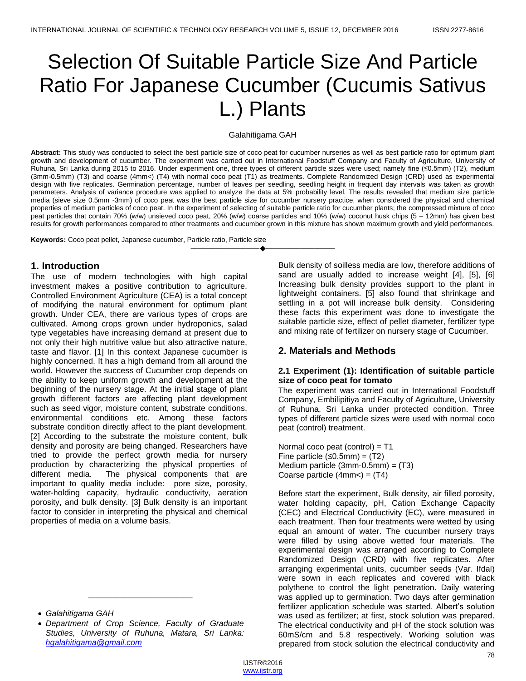# Selection Of Suitable Particle Size And Particle Ratio For Japanese Cucumber (Cucumis Sativus L.) Plants

#### Galahitigama GAH

**Abstract:** This study was conducted to select the best particle size of coco peat for cucumber nurseries as well as best particle ratio for optimum plant growth and development of cucumber. The experiment was carried out in International Foodstuff Company and Faculty of Agriculture, University of Ruhuna, Sri Lanka during 2015 to 2016. Under experiment one, three types of different particle sizes were used; namely fine (≤0.5mm) (T2), medium (3mm-0.5mm) (T3) and coarse (4mm<) (T4) with normal coco peat (T1) as treatments. Complete Randomized Design (CRD) used as experimental design with five replicates. Germination percentage, number of leaves per seedling, seedling height in frequent day intervals was taken as growth parameters. Analysis of variance procedure was applied to analyze the data at 5% probability level. The results revealed that medium size particle media (sieve size 0.5mm -3mm) of coco peat was the best particle size for cucumber nursery practice, when considered the physical and chemical properties of medium particles of coco peat. In the experiment of selecting of suitable particle ratio for cucumber plants; the compressed mixture of coco peat particles that contain 70% (w/w) unsieved coco peat, 20% (w/w) coarse particles and 10% (w/w) coconut husk chips (5 – 12mm) has given best results for growth performances compared to other treatments and cucumber grown in this mixture has shown maximum growth and yield performances.

————————————————————

**Keywords:** Coco peat pellet, Japanese cucumber, Particle ratio, Particle size

## **1. Introduction**

The use of modern technologies with high capital investment makes a positive contribution to agriculture. Controlled Environment Agriculture (CEA) is a total concept of modifying the natural environment for optimum plant growth. Under CEA, there are various types of crops are cultivated. Among crops grown under hydroponics, salad type vegetables have increasing demand at present due to not only their high nutritive value but also attractive nature, taste and flavor. [1] In this context Japanese cucumber is highly concerned. It has a high demand from all around the world. However the success of Cucumber crop depends on the ability to keep uniform growth and development at the beginning of the nursery stage. At the initial stage of plant growth different factors are affecting plant development such as seed vigor, moisture content, substrate conditions, environmental conditions etc. Among these factors substrate condition directly affect to the plant development. [2] According to the substrate the moisture content, bulk density and porosity are being changed. Researchers have tried to provide the perfect growth media for nursery production by characterizing the physical properties of different media. The physical components that are important to quality media include: pore size, porosity, water-holding capacity, hydraulic conductivity, aeration porosity, and bulk density. [3] Bulk density is an important factor to consider in interpreting the physical and chemical properties of media on a volume basis.

*Galahitigama GAH*

*\_\_\_\_\_\_\_\_\_\_\_\_\_\_\_\_\_\_\_\_\_\_\_*

Bulk density of soilless media are low, therefore additions of sand are usually added to increase weight [4], [5], [6] Increasing bulk density provides support to the plant in lightweight containers. [5] also found that shrinkage and settling in a pot will increase bulk density. Considering these facts this experiment was done to investigate the suitable particle size, effect of pellet diameter, fertilizer type and mixing rate of fertilizer on nursery stage of Cucumber.

## **2. Materials and Methods**

## **2.1 Experiment (1): Identification of suitable particle size of coco peat for tomato**

The experiment was carried out in International Foodstuff Company, Embilipitiya and Faculty of Agriculture, University of Ruhuna, Sri Lanka under protected condition. Three types of different particle sizes were used with normal coco peat (control) treatment.

Normal coco peat (control) =  $T1$ Fine particle  $≤0.5mm$  =  $(T2)$ Medium particle  $(3mm-0.5mm) = (T3)$ Coarse particle  $(4mm<) = (T4)$ 

Before start the experiment, Bulk density, air filled porosity, water holding capacity, pH, Cation Exchange Capacity (CEC) and Electrical Conductivity (EC), were measured in each treatment. Then four treatments were wetted by using equal an amount of water. The cucumber nursery trays were filled by using above wetted four materials. The experimental design was arranged according to Complete Randomized Design (CRD) with five replicates. After arranging experimental units, cucumber seeds (Var. Ifdal) were sown in each replicates and covered with black polythene to control the light penetration. Daily watering was applied up to germination. Two days after germination fertilizer application schedule was started. Albert's solution was used as fertilizer; at first, stock solution was prepared. The electrical conductivity and pH of the stock solution was 60mS/cm and 5.8 respectively. Working solution was prepared from stock solution the electrical conductivity and

*Department of Crop Science, Faculty of Graduate Studies, University of Ruhuna, Matara, Sri Lanka: hgalahitigama@gmail.com*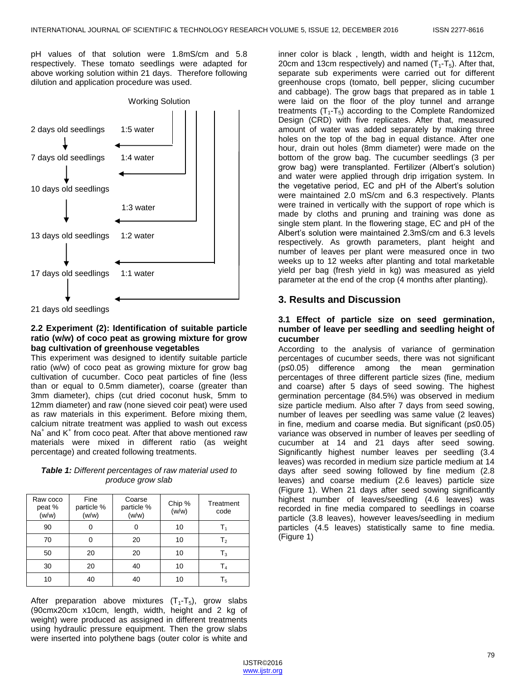pH values of that solution were 1.8mS/cm and 5.8 respectively. These tomato seedlings were adapted for above working solution within 21 days. Therefore following dilution and application procedure was used.



21 days old seedlings

## **2.2 Experiment (2): Identification of suitable particle ratio (w/w) of coco peat as growing mixture for grow bag cultivation of greenhouse vegetables**

This experiment was designed to identify suitable particle ratio (w/w) of coco peat as growing mixture for grow bag cultivation of cucumber. Coco peat particles of fine (less than or equal to 0.5mm diameter), coarse (greater than 3mm diameter), chips (cut dried coconut husk, 5mm to 12mm diameter) and raw (none sieved coir peat) were used as raw materials in this experiment. Before mixing them, calcium nitrate treatment was applied to wash out excess Na<sup>+</sup> and K<sup>+</sup> from coco peat. After that above mentioned raw materials were mixed in different ratio (as weight percentage) and created following treatments.

| <b>Table 1:</b> Different percentages of raw material used to |
|---------------------------------------------------------------|
| produce grow slab                                             |

| Raw coco<br>peat %<br>(w/w) | Fine<br>particle %<br>(w/w) | Coarse<br>particle %<br>(w/w) | Chip %<br>(w/w) | Treatment<br>code |
|-----------------------------|-----------------------------|-------------------------------|-----------------|-------------------|
| 90                          |                             |                               | 10              |                   |
| 70                          |                             | 20                            | 10              | T <sub>2</sub>    |
| 50                          | 20                          | 20                            | 10              | $T_3$             |
| 30                          | 20                          | 40                            | 10              | Τ4                |
| 10                          | 40                          | 40                            | 10              | Τ,                |

After preparation above mixtures  $(T_1-T_5)$ , grow slabs (90cmx20cm x10cm, length, width, height and 2 kg of weight) were produced as assigned in different treatments using hydraulic pressure equipment. Then the grow slabs were inserted into polythene bags (outer color is white and

inner color is black , length, width and height is 112cm, 20cm and 13cm respectively) and named  $(T_1-T_5)$ . After that, separate sub experiments were carried out for different greenhouse crops (tomato, bell pepper, slicing cucumber and cabbage). The grow bags that prepared as in table 1 were laid on the floor of the ploy tunnel and arrange treatments  $(T_1-T_5)$  according to the Complete Randomized Design (CRD) with five replicates. After that, measured amount of water was added separately by making three holes on the top of the bag in equal distance. After one hour, drain out holes (8mm diameter) were made on the bottom of the grow bag. The cucumber seedlings (3 per grow bag) were transplanted. Fertilizer (Albert's solution) and water were applied through drip irrigation system. In the vegetative period, EC and pH of the Albert's solution were maintained 2.0 mS/cm and 6.3 respectively. Plants were trained in vertically with the support of rope which is made by cloths and pruning and training was done as single stem plant. In the flowering stage, EC and pH of the Albert's solution were maintained 2.3mS/cm and 6.3 levels respectively. As growth parameters, plant height and number of leaves per plant were measured once in two weeks up to 12 weeks after planting and total marketable yield per bag (fresh yield in kg) was measured as yield parameter at the end of the crop (4 months after planting).

# **3. Results and Discussion**

## **3.1 Effect of particle size on seed germination, number of leave per seedling and seedling height of cucumber**

According to the analysis of variance of germination percentages of cucumber seeds, there was not significant (p≤0.05) difference among the mean germination percentages of three different particle sizes (fine, medium and coarse) after 5 days of seed sowing. The highest germination percentage (84.5%) was observed in medium size particle medium. Also after 7 days from seed sowing, number of leaves per seedling was same value (2 leaves) in fine, medium and coarse media. But significant (p≤0.05) variance was observed in number of leaves per seedling of cucumber at 14 and 21 days after seed sowing. Significantly highest number leaves per seedling (3.4 leaves) was recorded in medium size particle medium at 14 days after seed sowing followed by fine medium (2.8 leaves) and coarse medium (2.6 leaves) particle size (Figure 1). When 21 days after seed sowing significantly highest number of leaves/seedling (4.6 leaves) was recorded in fine media compared to seedlings in coarse particle (3.8 leaves), however leaves/seedling in medium particles (4.5 leaves) statistically same to fine media. (Figure 1)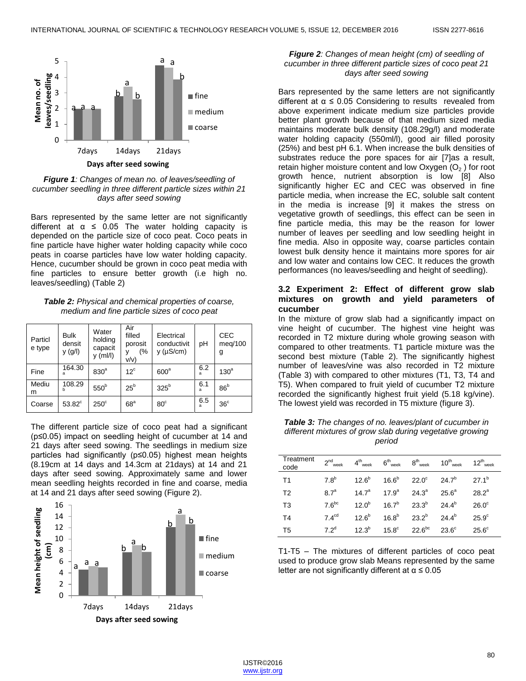

*Figure 1: Changes of mean no. of leaves/seedling of cucumber seedling in three different particle sizes within 21 days after seed sowing*

Bars represented by the same letter are not significantly different at  $\alpha \leq 0.05$  The water holding capacity is depended on the particle size of coco peat. Coco peats in fine particle have higher water holding capacity while coco peats in coarse particles have low water holding capacity. Hence, cucumber should be grown in coco peat media with fine particles to ensure better growth (i.e high no. leaves/seedling) (Table 2)

*Table 2: Physical and chemical properties of coarse, medium and fine particle sizes of coco peat*

| Particl<br>e type | <b>Bulk</b><br>densit<br>y (g/l) | Water<br>holding<br>capacit<br>$y$ (ml/l) | Air<br>filled<br>porosit<br>(%<br>v/v) | Electrical<br>conductivit<br>$y$ ( $\mu$ S/cm) | рH       | <b>CEC</b><br>meg/100<br>g |
|-------------------|----------------------------------|-------------------------------------------|----------------------------------------|------------------------------------------------|----------|----------------------------|
| Fine              | 164.30<br>a                      | 830 <sup>a</sup>                          | $12^{\circ}$                           | 600 <sup>a</sup>                               | 6.2<br>a | 130 <sup>a</sup>           |
| Mediu<br>m        | 108.29<br>h                      | 550 <sup>b</sup>                          | $25^{\rm b}$                           | 325 <sup>b</sup>                               | 6.1<br>a | 86 <sup>b</sup>            |
| Coarse            | $53.82^c$                        | $250^\circ$                               | 68 <sup>a</sup>                        | $80^\circ$                                     | 6.5<br>a | 36 <sup>c</sup>            |

The different particle size of coco peat had a significant (p≤0.05) impact on seedling height of cucumber at 14 and 21 days after seed sowing. The seedlings in medium size particles had significantly (p≤0.05) highest mean heights (8.19cm at 14 days and 14.3cm at 21days) at 14 and 21 days after seed sowing. Approximately same and lower mean seedling heights recorded in fine and coarse, media at 14 and 21 days after seed sowing (Figure 2).



#### *Figure 2: Changes of mean height (cm) of seedling of cucumber in three different particle sizes of coco peat 21 days after seed sowing*

Bars represented by the same letters are not significantly different at  $\alpha \leq 0.05$  Considering to results revealed from above experiment indicate medium size particles provide better plant growth because of that medium sized media maintains moderate bulk density (108.29g/l) and moderate water holding capacity (550ml/l), good air filled porosity (25%) and best pH 6.1. When increase the bulk densities of substrates reduce the pore spaces for air [7]as a result, retain higher moisture content and low Oxygen  $(O<sub>2</sub>)$  for root growth hence, nutrient absorption is low [8] Also significantly higher EC and CEC was observed in fine particle media, when increase the EC, soluble salt content in the media is increase [9] it makes the stress on vegetative growth of seedlings, this effect can be seen in fine particle media, this may be the reason for lower number of leaves per seedling and low seedling height in fine media. Also in opposite way, coarse particles contain lowest bulk density hence it maintains more spores for air and low water and contains low CEC. It reduces the growth performances (no leaves/seedling and height of seedling).

## **3.2 Experiment 2: Effect of different grow slab mixtures on growth and yield parameters of cucumber**

In the mixture of grow slab had a significantly impact on vine height of cucumber. The highest vine height was recorded in T2 mixture during whole growing season with compared to other treatments. T1 particle mixture was the second best mixture (Table 2). The significantly highest number of leaves/vine was also recorded in T2 mixture (Table 3) with compared to other mixtures (T1, T3, T4 and T5). When compared to fruit yield of cucumber T2 mixture recorded the significantly highest fruit yield (5.18 kg/vine). The lowest yield was recorded in T5 mixture (figure 3).

*Table 3: The changes of no. leaves/plant of cucumber in different mixtures of grow slab during vegetative growing period*

| Treatment<br>code | $2nd$ <sub>week</sub> |            |                                                     | $4^{\text{th}}$ <sub>week</sub> $6^{\text{th}}$ <sub>week</sub> $8^{\text{th}}$ <sub>week</sub> $10^{\text{th}}$ <sub>week</sub> | $12^{th}$ <sub>week</sub> |
|-------------------|-----------------------|------------|-----------------------------------------------------|----------------------------------------------------------------------------------------------------------------------------------|---------------------------|
| T1                | 7.8 <sup>b</sup>      |            | $12.6^b$ $16.6^b$ $22.0^c$ $24.7^b$                 |                                                                                                                                  | $27.1^b$                  |
| T <sub>2</sub>    | 87 <sup>a</sup>       |            | $14.7^a$ $17.9^a$ $24.3^a$ $25.6^a$                 |                                                                                                                                  | $28.2^a$                  |
| T <sub>3</sub>    | 7.6 <sup>bc</sup>     |            | $12.0^b$ $16.7^b$ $23.3^b$ $24.4^b$                 |                                                                                                                                  | $26.0^\circ$              |
| T4                | 7.4 <sup>cd</sup>     | $12.6^b$   | $16.8^{b}$ $23.2^{b}$ $24.4^{b}$                    |                                                                                                                                  | $25.9^\circ$              |
| T <sub>5</sub>    | $72^d$                | $12.3^{b}$ | $15.8^{\circ}$ 22.6 <sup>bc</sup> 23.6 <sup>c</sup> |                                                                                                                                  | $25.6^\circ$              |

T1-T5 – The mixtures of different particles of coco peat used to produce grow slab Means represented by the same letter are not significantly different at  $α ≤ 0.05$ 

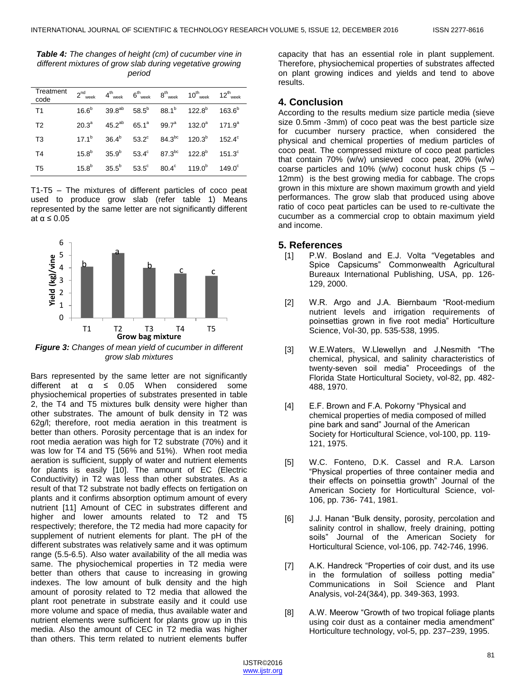*Table 4: The changes of height (cm) of cucumber vine in different mixtures of grow slab during vegetative growing period*

| Treatment<br>code |  |  | $2^{nd}$ week $4^{th}$ week $6^{th}$ week $8^{th}$ week $10^{th}$ week $12^{th}$ week                 |  |
|-------------------|--|--|-------------------------------------------------------------------------------------------------------|--|
| T1                |  |  | $16.6^b$ $39.8^{ab}$ $58.5^b$ $88.1^b$ $122.8^b$ $163.6^b$                                            |  |
| T <sub>2</sub>    |  |  | $20.3^a$ 45.2 <sup>ab</sup> 65.1 <sup>a</sup> 99.7 <sup>a</sup> 132.0 <sup>a</sup> 171.9 <sup>a</sup> |  |
| T <sub>3</sub>    |  |  | $17.1^b$ $36.4^b$ $53.2^c$ $84.3^{bc}$ $120.3^b$ $152.4^c$                                            |  |
| T <sub>4</sub>    |  |  | $15.8^b$ $35.9^b$ $53.4^c$ $87.3^{bc}$ $122.8^b$ $151.3^c$                                            |  |
| T <sub>5</sub>    |  |  | $15.8^b$ $35.5^b$ $53.5^c$ $80.4^c$ $119.0^b$ $149.0^c$                                               |  |

T1-T5 – The mixtures of different particles of coco peat used to produce grow slab (refer table 1) Means represented by the same letter are not significantly different at  $\alpha \leq 0.05$ 



*Figure 3: Changes of mean yield of cucumber in different grow slab mixtures*

Bars represented by the same letter are not significantly different at  $\alpha \leq 0.05$  When considered some physiochemical properties of substrates presented in table 2, the T4 and T5 mixtures bulk density were higher than other substrates. The amount of bulk density in T2 was 62g/l; therefore, root media aeration in this treatment is better than others. Porosity percentage that is an index for root media aeration was high for T2 substrate (70%) and it was low for T4 and T5 (56% and 51%). When root media aeration is sufficient, supply of water and nutrient elements for plants is easily [10]. The amount of EC (Electric Conductivity) in T2 was less than other substrates. As a result of that T2 substrate not badly effects on fertigation on plants and it confirms absorption optimum amount of every nutrient [11] Amount of CEC in substrates different and higher and lower amounts related to T2 and T5 respectively; therefore, the T2 media had more capacity for supplement of nutrient elements for plant. The pH of the different substrates was relatively same and it was optimum range (5.5-6.5). Also water availability of the all media was same. The physiochemical properties in T2 media were better than others that cause to increasing in growing indexes. The low amount of bulk density and the high amount of porosity related to T2 media that allowed the plant root penetrate in substrate easily and it could use more volume and space of media, thus available water and nutrient elements were sufficient for plants grow up in this media. Also the amount of CEC in T2 media was higher than others. This term related to nutrient elements buffer

capacity that has an essential role in plant supplement. Therefore, physiochemical properties of substrates affected on plant growing indices and yields and tend to above results.

## **4. Conclusion**

According to the results medium size particle media (sieve size 0.5mm -3mm) of coco peat was the best particle size for cucumber nursery practice, when considered the physical and chemical properties of medium particles of coco peat. The compressed mixture of coco peat particles that contain 70% (w/w) unsieved coco peat, 20% (w/w) coarse particles and 10% (w/w) coconut husk chips  $(5 -$ 12mm) is the best growing media for cabbage. The crops grown in this mixture are shown maximum growth and yield performances. The grow slab that produced using above ratio of coco peat particles can be used to re-cultivate the cucumber as a commercial crop to obtain maximum yield and income.

## **5. References**

- [1] P.W. Bosland and E.J. Volta "Vegetables and Spice Capsicums" Commonwealth Agricultural Bureaux International Publishing, USA, pp. 126- 129, 2000.
- [2] W.R. Argo and J.A. Biernbaum "Root-medium nutrient levels and irrigation requirements of poinsettias grown in five root media" Horticulture Science, Vol-30, pp. 535-538, 1995.
- [3] W.E.Waters, W.Llewellyn and J.Nesmith "The chemical, physical, and salinity characteristics of twenty-seven soil media‖ Proceedings of the Florida State Horticultural Society, vol-82, pp. 482- 488, 1970.
- [4] E.F. Brown and F.A. Pokorny "Physical and chemical properties of media composed of milled pine bark and sand" Journal of the American Society for Horticultural Science, vol-100, pp. 119- 121, 1975.
- [5] W.C. Fonteno, D.K. Cassel and R.A. Larson ―Physical properties of three container media and their effects on poinsettia growth" Journal of the American Society for Horticultural Science, vol-106, pp. 736- 741, 1981.
- [6] J.J. Hanan "Bulk density, porosity, percolation and salinity control in shallow, freely draining, potting soils" Journal of the American Society for Horticultural Science, vol-106, pp. 742-746, 1996.
- [7] A.K. Handreck "Properties of coir dust, and its use in the formulation of soilless potting media" Communications in Soil Science and Plant Analysis, vol-24(3&4), pp. 349-363, 1993.
- [8] A.W. Meerow "Growth of two tropical foliage plants using coir dust as a container media amendment" Horticulture technology, vol-5, pp. 237–239, 1995.